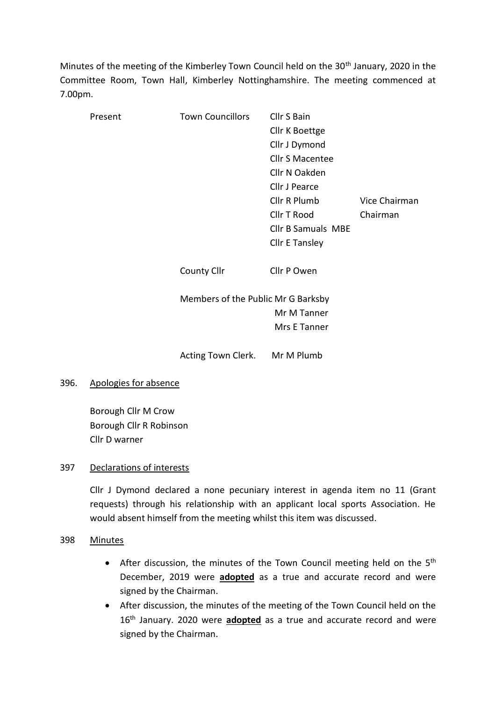Minutes of the meeting of the Kimberley Town Council held on the 30<sup>th</sup> January, 2020 in the Committee Room, Town Hall, Kimberley Nottinghamshire. The meeting commenced at 7.00pm.

| Present | <b>Town Councillors</b>            | Cllr S Bain<br>Cllr K Boettge<br>Cllr J Dymond |               |
|---------|------------------------------------|------------------------------------------------|---------------|
|         |                                    | <b>Cllr S Macentee</b>                         |               |
|         |                                    | Cllr N Oakden                                  |               |
|         |                                    | Cllr J Pearce                                  |               |
|         |                                    | Cllr R Plumb                                   | Vice Chairman |
|         |                                    | Cllr T Rood                                    | Chairman      |
|         |                                    | <b>Cllr B Samuals MBE</b>                      |               |
|         |                                    | <b>Cllr E Tansley</b>                          |               |
|         | <b>County Cllr</b>                 | Cllr P Owen                                    |               |
|         | Members of the Public Mr G Barksby |                                                |               |
|         |                                    | Mr M Tanner                                    |               |
|         |                                    | Mrs E Tanner                                   |               |
|         | Acting Town Clerk. Mr M Plumb      |                                                |               |

# 396. Apologies for absence

Borough Cllr M Crow Borough Cllr R Robinson Cllr D warner

# 397 Declarations of interests

Cllr J Dymond declared a none pecuniary interest in agenda item no 11 (Grant requests) through his relationship with an applicant local sports Association. He would absent himself from the meeting whilst this item was discussed.

# 398 Minutes

- After discussion, the minutes of the Town Council meeting held on the  $5<sup>th</sup>$ December, 2019 were **adopted** as a true and accurate record and were signed by the Chairman.
- After discussion, the minutes of the meeting of the Town Council held on the 16th January. 2020 were **adopted** as a true and accurate record and were signed by the Chairman.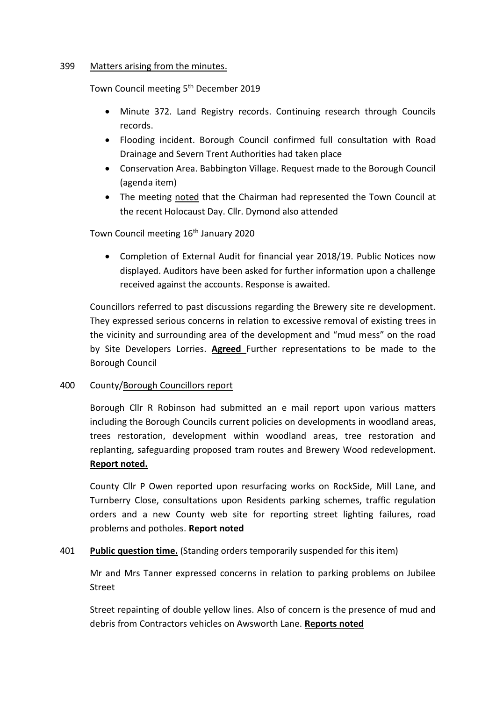# 399 Matters arising from the minutes.

Town Council meeting 5<sup>th</sup> December 2019

- Minute 372. Land Registry records. Continuing research through Councils records.
- Flooding incident. Borough Council confirmed full consultation with Road Drainage and Severn Trent Authorities had taken place
- Conservation Area. Babbington Village. Request made to the Borough Council (agenda item)
- The meeting noted that the Chairman had represented the Town Council at the recent Holocaust Day. Cllr. Dymond also attended

# Town Council meeting 16<sup>th</sup> January 2020

• Completion of External Audit for financial year 2018/19. Public Notices now displayed. Auditors have been asked for further information upon a challenge received against the accounts. Response is awaited.

Councillors referred to past discussions regarding the Brewery site re development. They expressed serious concerns in relation to excessive removal of existing trees in the vicinity and surrounding area of the development and "mud mess" on the road by Site Developers Lorries. **Agreed** Further representations to be made to the Borough Council

# 400 County/Borough Councillors report

Borough Cllr R Robinson had submitted an e mail report upon various matters including the Borough Councils current policies on developments in woodland areas, trees restoration, development within woodland areas, tree restoration and replanting, safeguarding proposed tram routes and Brewery Wood redevelopment. **Report noted.**

County Cllr P Owen reported upon resurfacing works on RockSide, Mill Lane, and Turnberry Close, consultations upon Residents parking schemes, traffic regulation orders and a new County web site for reporting street lighting failures, road problems and potholes. **Report noted**

# 401 **Public question time.** (Standing orders temporarily suspended for this item)

Mr and Mrs Tanner expressed concerns in relation to parking problems on Jubilee Street

Street repainting of double yellow lines. Also of concern is the presence of mud and debris from Contractors vehicles on Awsworth Lane. **Reports noted**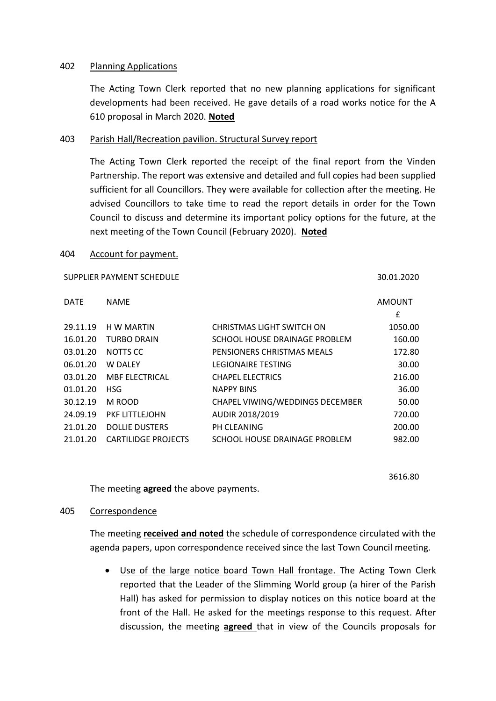### 402 Planning Applications

The Acting Town Clerk reported that no new planning applications for significant developments had been received. He gave details of a road works notice for the A 610 proposal in March 2020. **Noted**

### 403 Parish Hall/Recreation pavilion. Structural Survey report

The Acting Town Clerk reported the receipt of the final report from the Vinden Partnership. The report was extensive and detailed and full copies had been supplied sufficient for all Councillors. They were available for collection after the meeting. He advised Councillors to take time to read the report details in order for the Town Council to discuss and determine its important policy options for the future, at the next meeting of the Town Council (February 2020). **Noted**

#### 404 Account for payment.

| SUPPLIER PAYMENT SCHEDULE  |                                 |                    |
|----------------------------|---------------------------------|--------------------|
| <b>NAME</b>                |                                 | <b>AMOUNT</b><br>£ |
| H W MARTIN                 | CHRISTMAS LIGHT SWITCH ON       | 1050.00            |
| <b>TURBO DRAIN</b>         | SCHOOL HOUSE DRAINAGE PROBLEM   | 160.00             |
| NOTTS CC                   | PENSIONERS CHRISTMAS MEALS      | 172.80             |
| <b>W DALEY</b>             | <b>LEGIONAIRE TESTING</b>       | 30.00              |
| <b>MBF ELECTRICAL</b>      | <b>CHAPEL ELECTRICS</b>         | 216.00             |
| <b>HSG</b>                 | <b>NAPPY BINS</b>               | 36.00              |
| M ROOD                     | CHAPEL VIWING/WEDDINGS DECEMBER | 50.00              |
| PKF LITTLEJOHN             | AUDIR 2018/2019                 | 720.00             |
| <b>DOLLIE DUSTERS</b>      | PH CLEANING                     | 200.00             |
| <b>CARTILIDGE PROJECTS</b> | SCHOOL HOUSE DRAINAGE PROBLEM   | 982.00             |
|                            |                                 |                    |

3616.80

The meeting **agreed** the above payments.

#### 405 Correspondence

The meeting **received and noted** the schedule of correspondence circulated with the agenda papers, upon correspondence received since the last Town Council meeting.

• Use of the large notice board Town Hall frontage. The Acting Town Clerk reported that the Leader of the Slimming World group (a hirer of the Parish Hall) has asked for permission to display notices on this notice board at the front of the Hall. He asked for the meetings response to this request. After discussion, the meeting **agreed** that in view of the Councils proposals for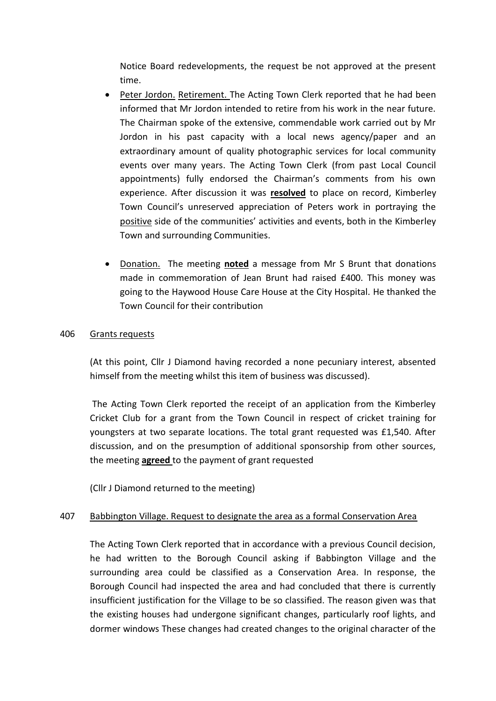Notice Board redevelopments, the request be not approved at the present time.

- Peter Jordon. Retirement. The Acting Town Clerk reported that he had been informed that Mr Jordon intended to retire from his work in the near future. The Chairman spoke of the extensive, commendable work carried out by Mr Jordon in his past capacity with a local news agency/paper and an extraordinary amount of quality photographic services for local community events over many years. The Acting Town Clerk (from past Local Council appointments) fully endorsed the Chairman's comments from his own experience. After discussion it was **resolved** to place on record, Kimberley Town Council's unreserved appreciation of Peters work in portraying the positive side of the communities' activities and events, both in the Kimberley Town and surrounding Communities.
- Donation. The meeting **noted** a message from Mr S Brunt that donations made in commemoration of Jean Brunt had raised £400. This money was going to the Haywood House Care House at the City Hospital. He thanked the Town Council for their contribution

# 406 Grants requests

(At this point, Cllr J Diamond having recorded a none pecuniary interest, absented himself from the meeting whilst this item of business was discussed).

The Acting Town Clerk reported the receipt of an application from the Kimberley Cricket Club for a grant from the Town Council in respect of cricket training for youngsters at two separate locations. The total grant requested was £1,540. After discussion, and on the presumption of additional sponsorship from other sources, the meeting **agreed** to the payment of grant requested

(Cllr J Diamond returned to the meeting)

# 407 Babbington Village. Request to designate the area as a formal Conservation Area

The Acting Town Clerk reported that in accordance with a previous Council decision, he had written to the Borough Council asking if Babbington Village and the surrounding area could be classified as a Conservation Area. In response, the Borough Council had inspected the area and had concluded that there is currently insufficient justification for the Village to be so classified. The reason given was that the existing houses had undergone significant changes, particularly roof lights, and dormer windows These changes had created changes to the original character of the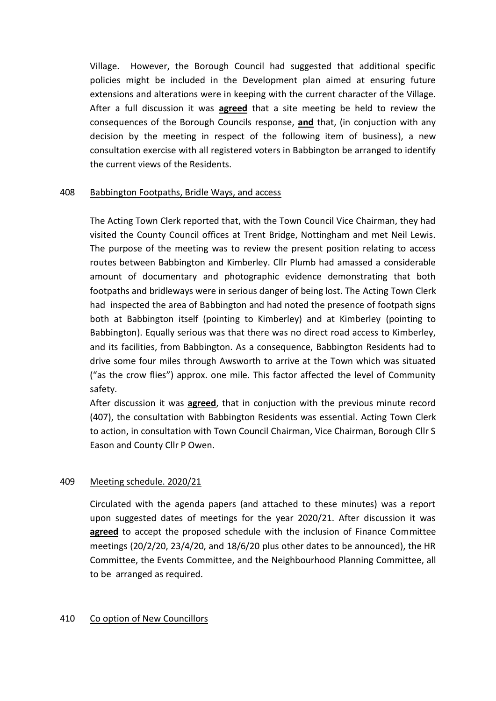Village. However, the Borough Council had suggested that additional specific policies might be included in the Development plan aimed at ensuring future extensions and alterations were in keeping with the current character of the Village. After a full discussion it was **agreed** that a site meeting be held to review the consequences of the Borough Councils response, **and** that, (in conjuction with any decision by the meeting in respect of the following item of business), a new consultation exercise with all registered voters in Babbington be arranged to identify the current views of the Residents.

# 408 Babbington Footpaths, Bridle Ways, and access

The Acting Town Clerk reported that, with the Town Council Vice Chairman, they had visited the County Council offices at Trent Bridge, Nottingham and met Neil Lewis. The purpose of the meeting was to review the present position relating to access routes between Babbington and Kimberley. Cllr Plumb had amassed a considerable amount of documentary and photographic evidence demonstrating that both footpaths and bridleways were in serious danger of being lost. The Acting Town Clerk had inspected the area of Babbington and had noted the presence of footpath signs both at Babbington itself (pointing to Kimberley) and at Kimberley (pointing to Babbington). Equally serious was that there was no direct road access to Kimberley, and its facilities, from Babbington. As a consequence, Babbington Residents had to drive some four miles through Awsworth to arrive at the Town which was situated ("as the crow flies") approx. one mile. This factor affected the level of Community safety.

After discussion it was **agreed**, that in conjuction with the previous minute record (407), the consultation with Babbington Residents was essential. Acting Town Clerk to action, in consultation with Town Council Chairman, Vice Chairman, Borough Cllr S Eason and County Cllr P Owen.

# 409 Meeting schedule. 2020/21

Circulated with the agenda papers (and attached to these minutes) was a report upon suggested dates of meetings for the year 2020/21. After discussion it was **agreed** to accept the proposed schedule with the inclusion of Finance Committee meetings (20/2/20, 23/4/20, and 18/6/20 plus other dates to be announced), the HR Committee, the Events Committee, and the Neighbourhood Planning Committee, all to be arranged as required.

# 410 Co option of New Councillors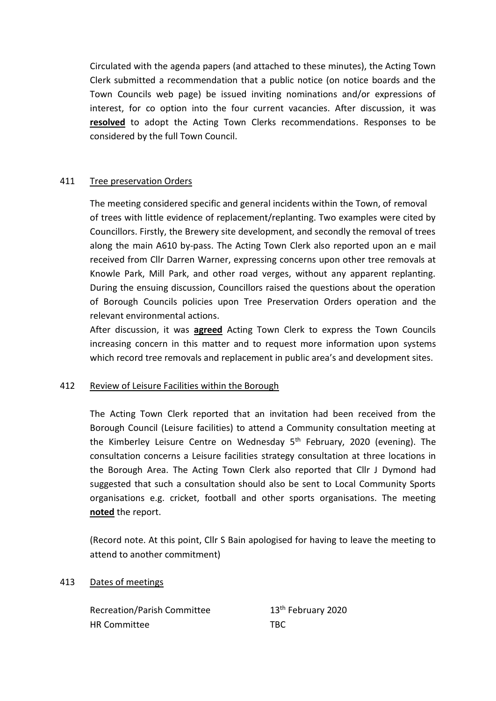Circulated with the agenda papers (and attached to these minutes), the Acting Town Clerk submitted a recommendation that a public notice (on notice boards and the Town Councils web page) be issued inviting nominations and/or expressions of interest, for co option into the four current vacancies. After discussion, it was **resolved** to adopt the Acting Town Clerks recommendations. Responses to be considered by the full Town Council.

# 411 Tree preservation Orders

The meeting considered specific and general incidents within the Town, of removal of trees with little evidence of replacement/replanting. Two examples were cited by Councillors. Firstly, the Brewery site development, and secondly the removal of trees along the main A610 by-pass. The Acting Town Clerk also reported upon an e mail received from Cllr Darren Warner, expressing concerns upon other tree removals at Knowle Park, Mill Park, and other road verges, without any apparent replanting. During the ensuing discussion, Councillors raised the questions about the operation of Borough Councils policies upon Tree Preservation Orders operation and the relevant environmental actions.

After discussion, it was **agreed** Acting Town Clerk to express the Town Councils increasing concern in this matter and to request more information upon systems which record tree removals and replacement in public area's and development sites.

# 412 Review of Leisure Facilities within the Borough

The Acting Town Clerk reported that an invitation had been received from the Borough Council (Leisure facilities) to attend a Community consultation meeting at the Kimberley Leisure Centre on Wednesday  $5<sup>th</sup>$  February, 2020 (evening). The consultation concerns a Leisure facilities strategy consultation at three locations in the Borough Area. The Acting Town Clerk also reported that Cllr J Dymond had suggested that such a consultation should also be sent to Local Community Sports organisations e.g. cricket, football and other sports organisations. The meeting **noted** the report.

(Record note. At this point, Cllr S Bain apologised for having to leave the meeting to attend to another commitment)

# 413 Dates of meetings

Recreation/Parish Committee 13<sup>th</sup> February 2020 HR Committee TBC